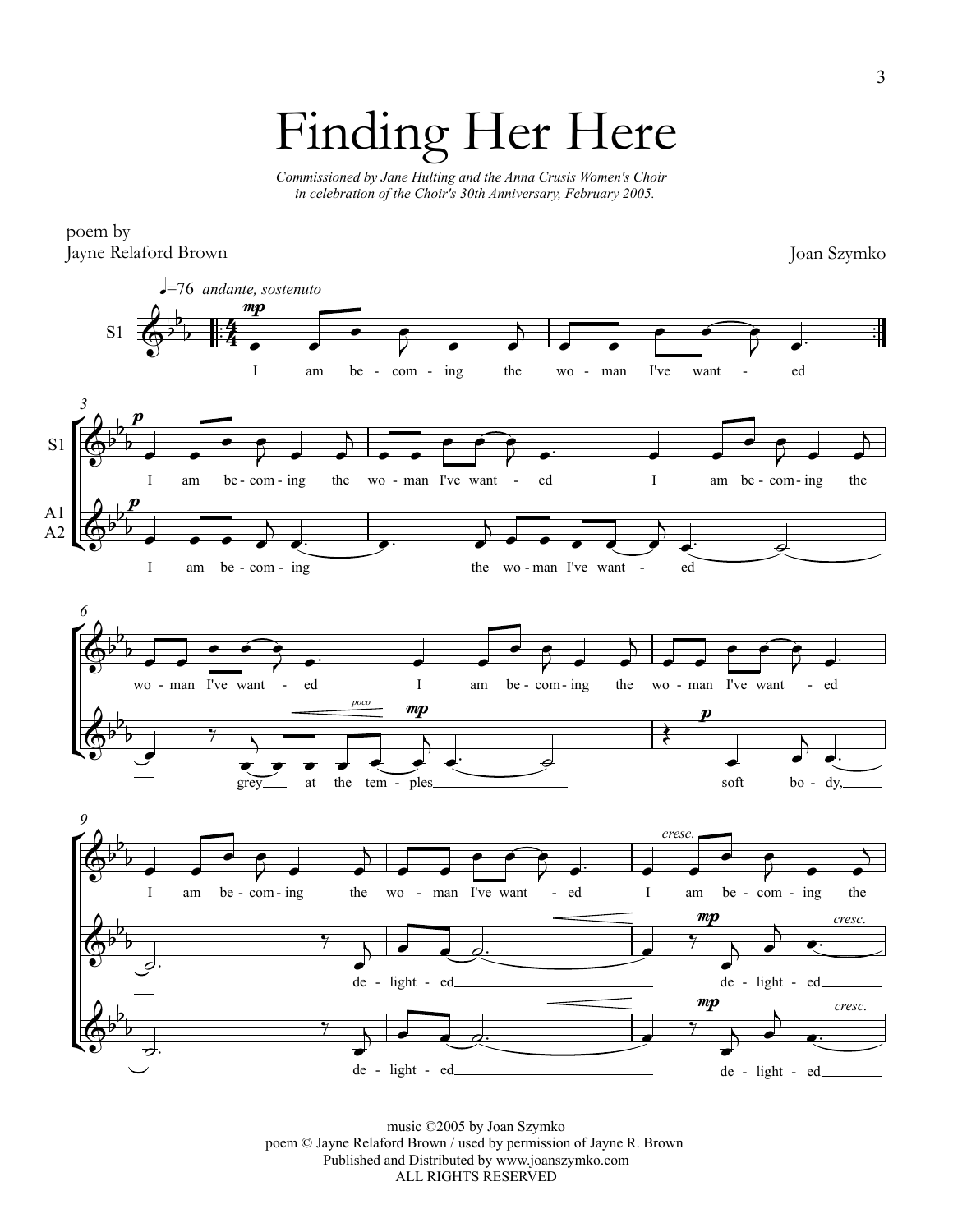Finding Her Here

*Commissioned by Jane Hulting and the Anna Crusis Women's Choir in celebration of the Choir's 30th Anniversary, February 2005.*

poem by Jayne Relaford Brown

Joan Szymko



music ©2005 by Joan Szymko poem © Jayne Relaford Brown / used by permission of Jayne R. Brown Published and Distributed by www.joanszymko.com ALL RIGHTS RESERVED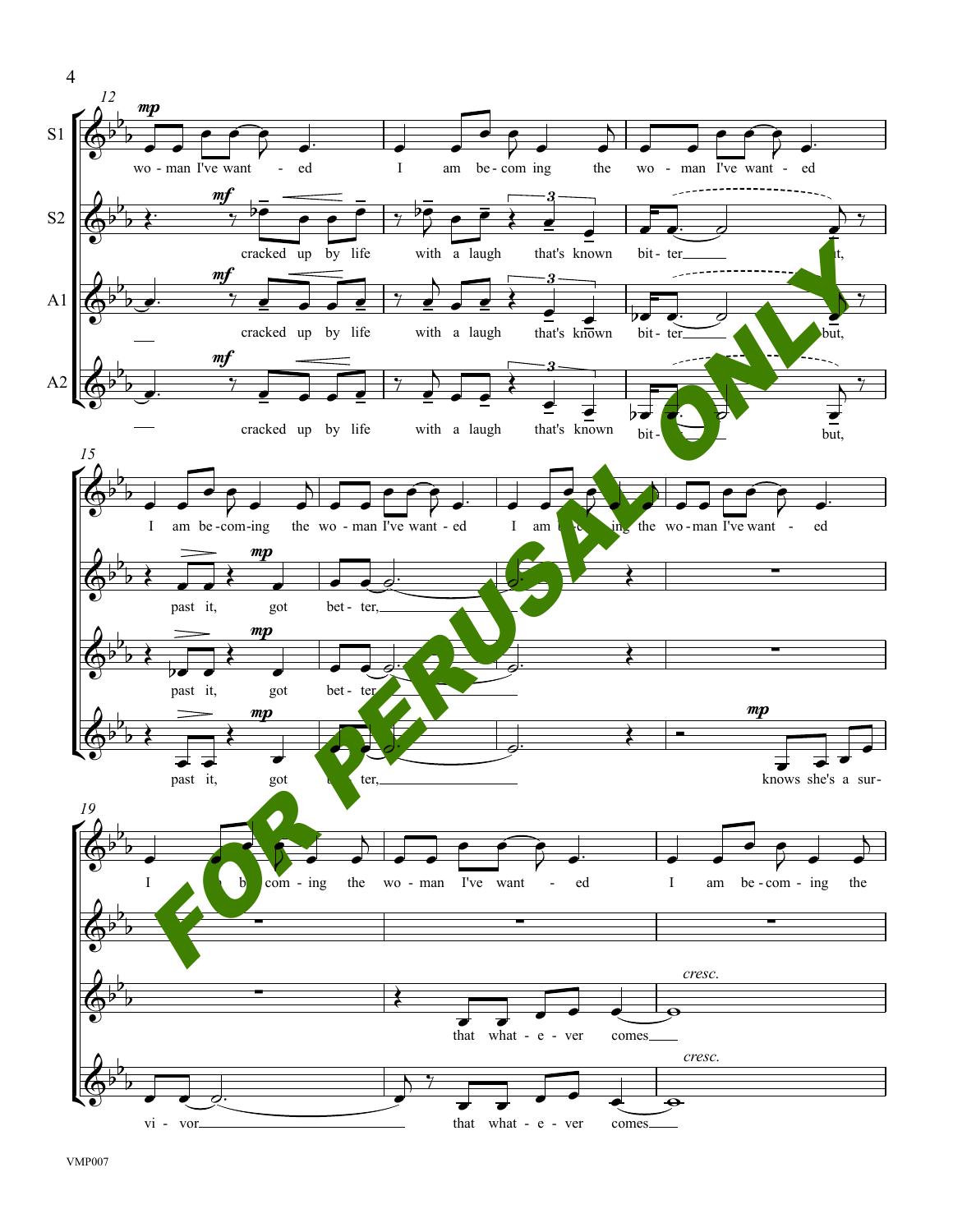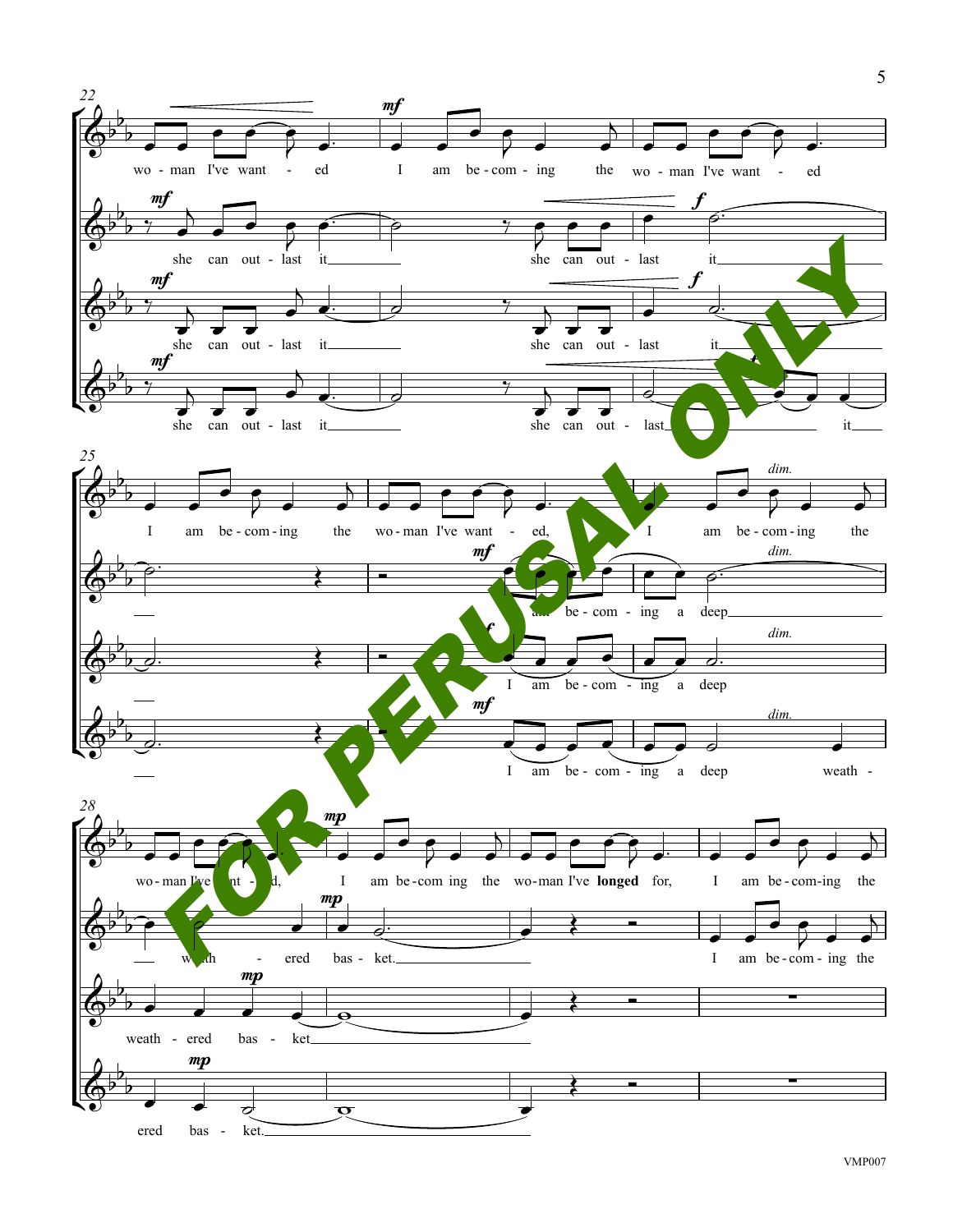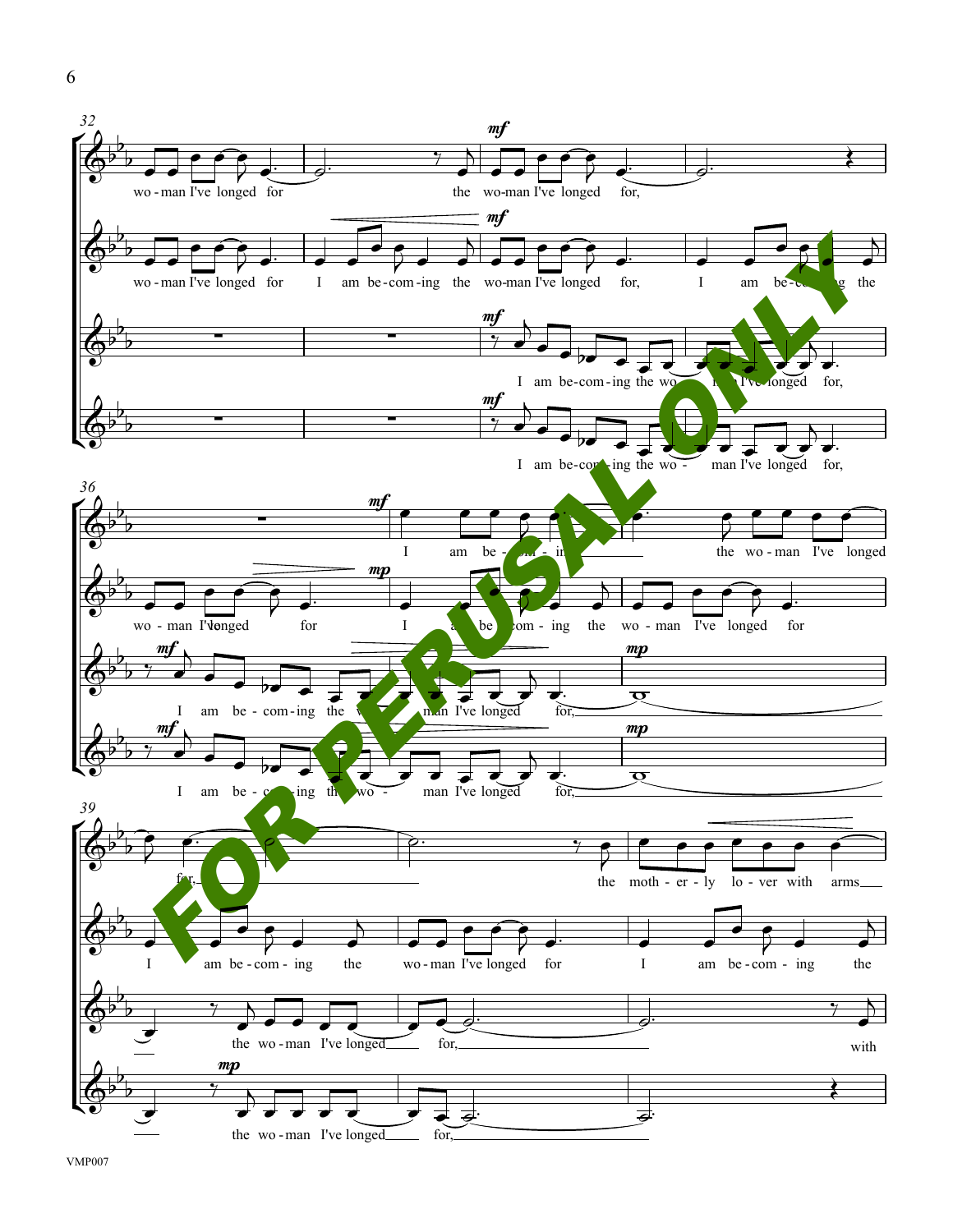

VMP007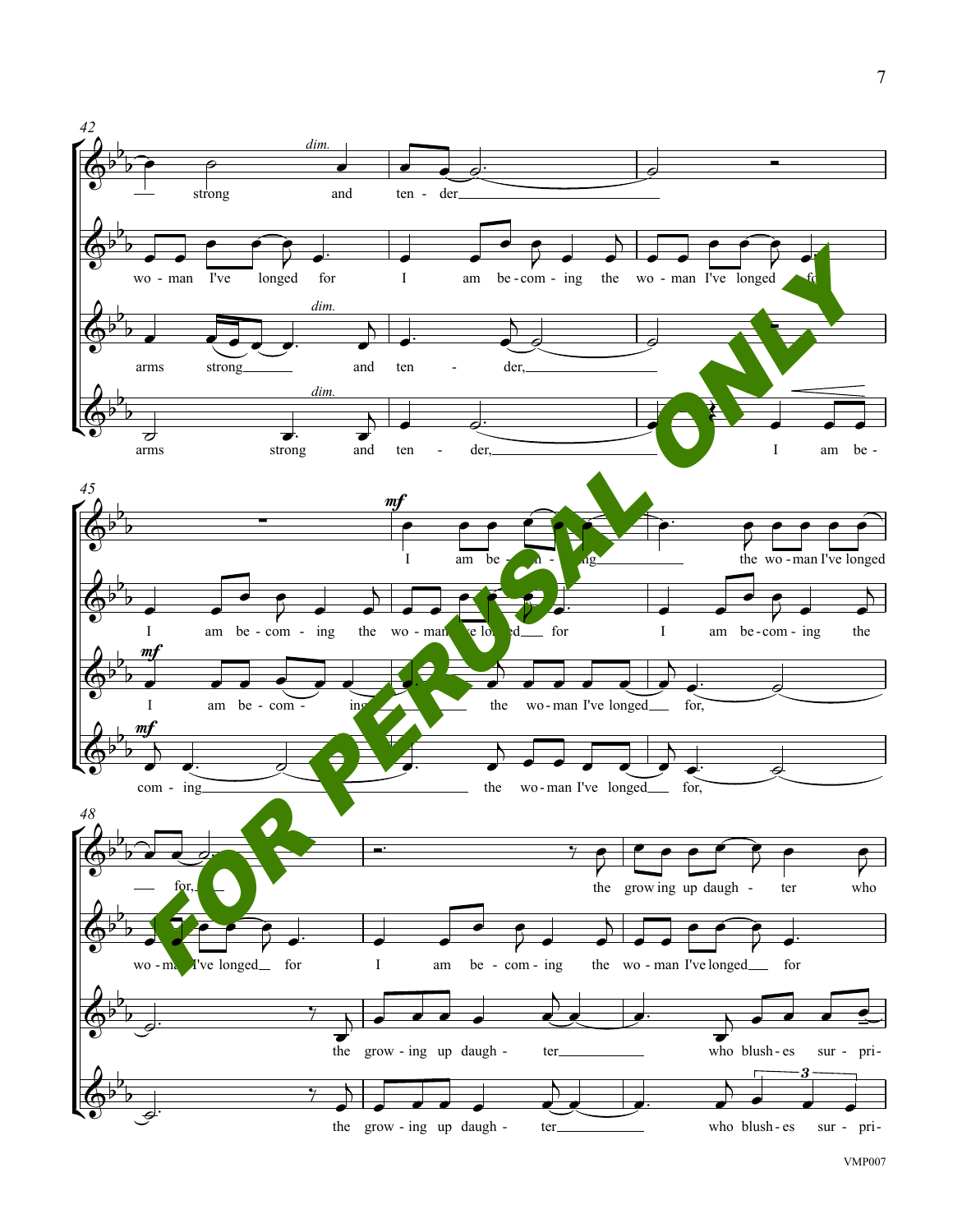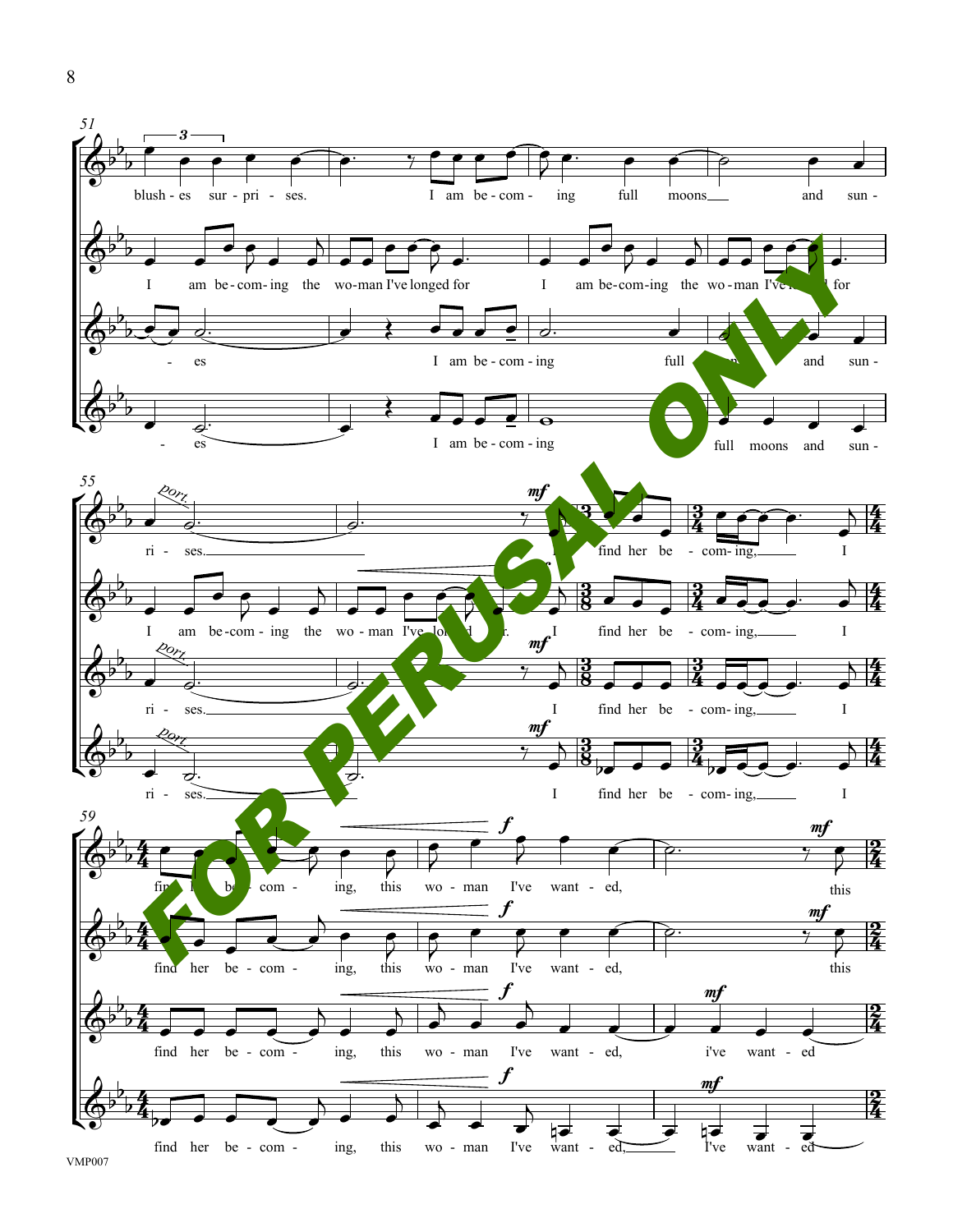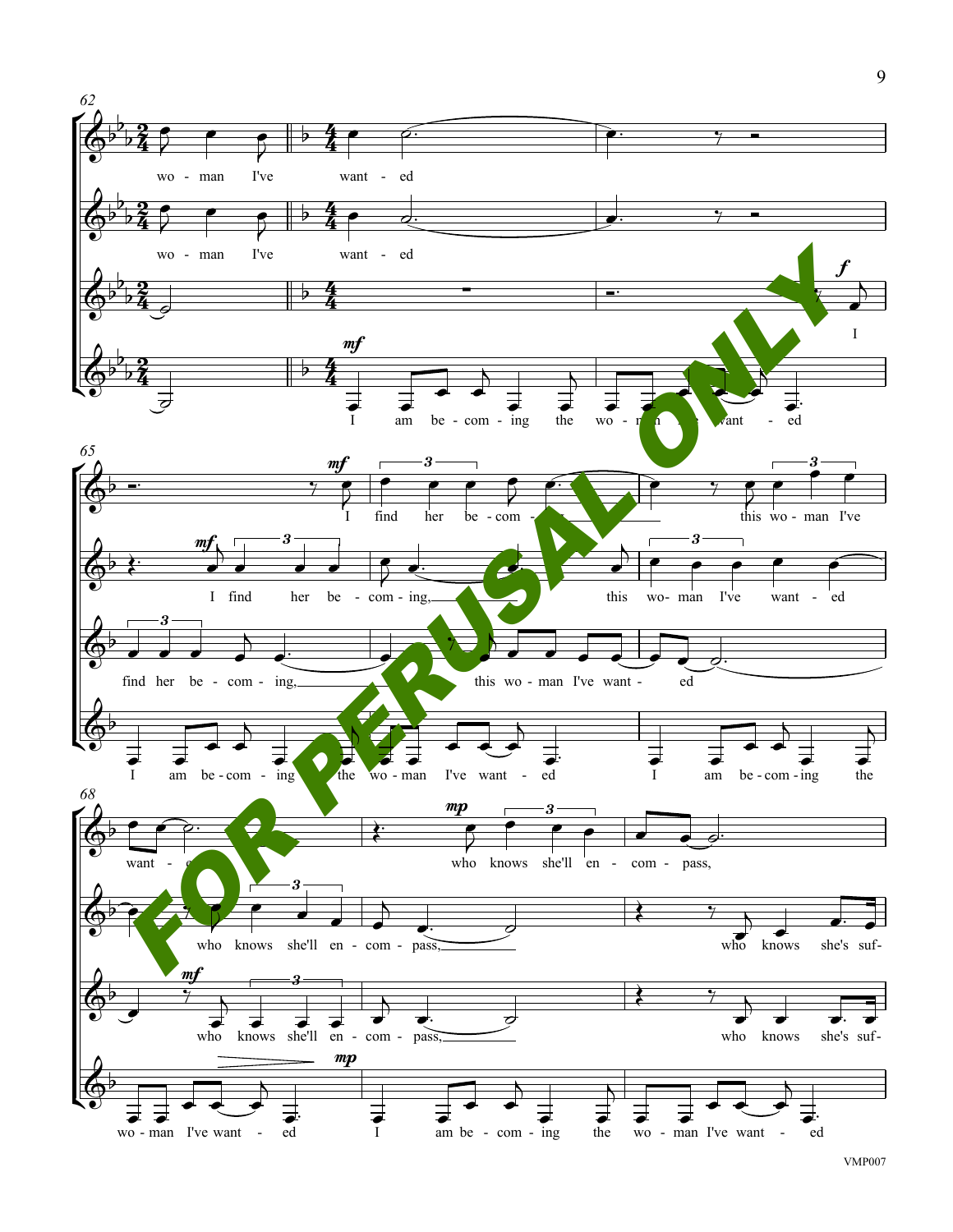

VMP007

9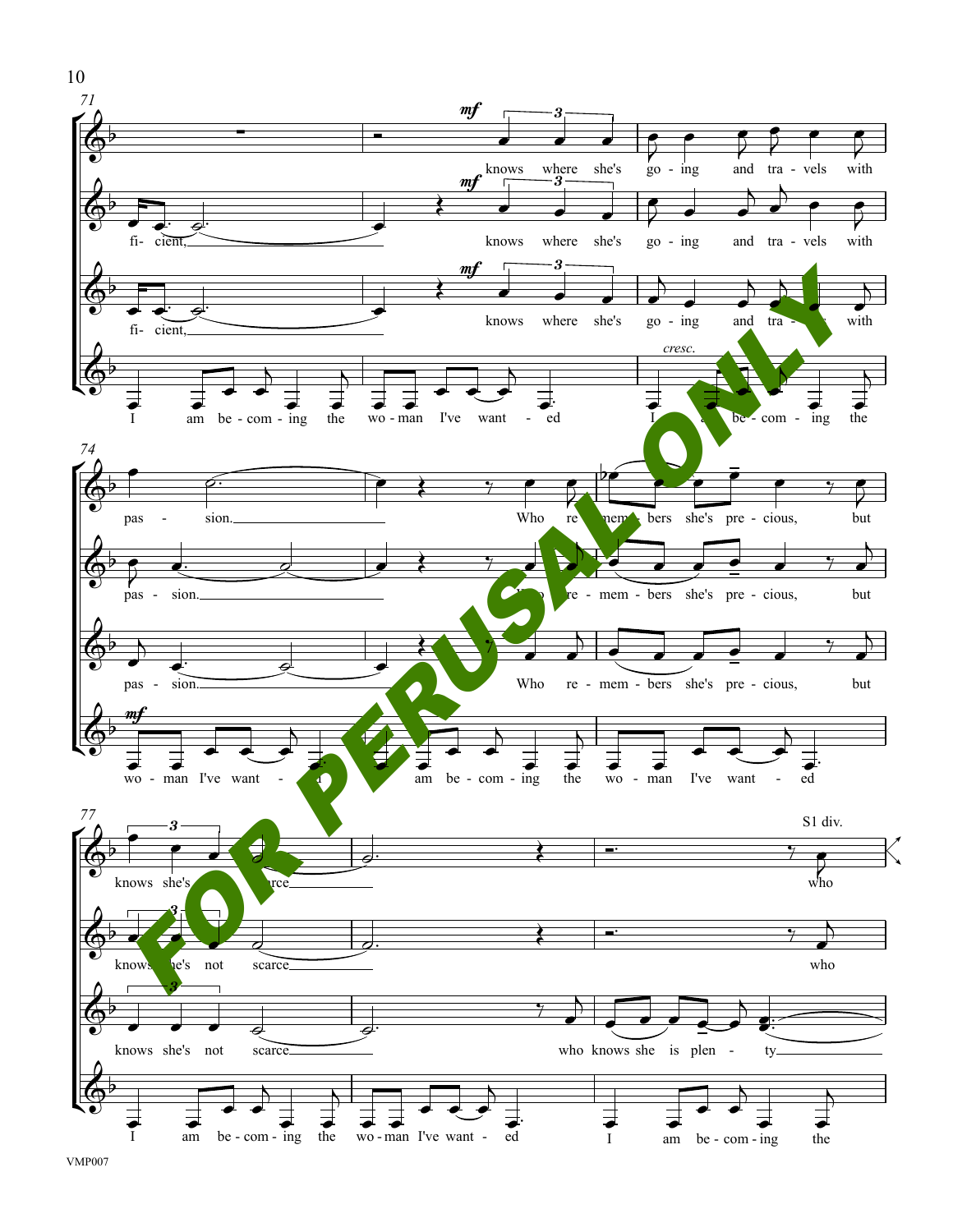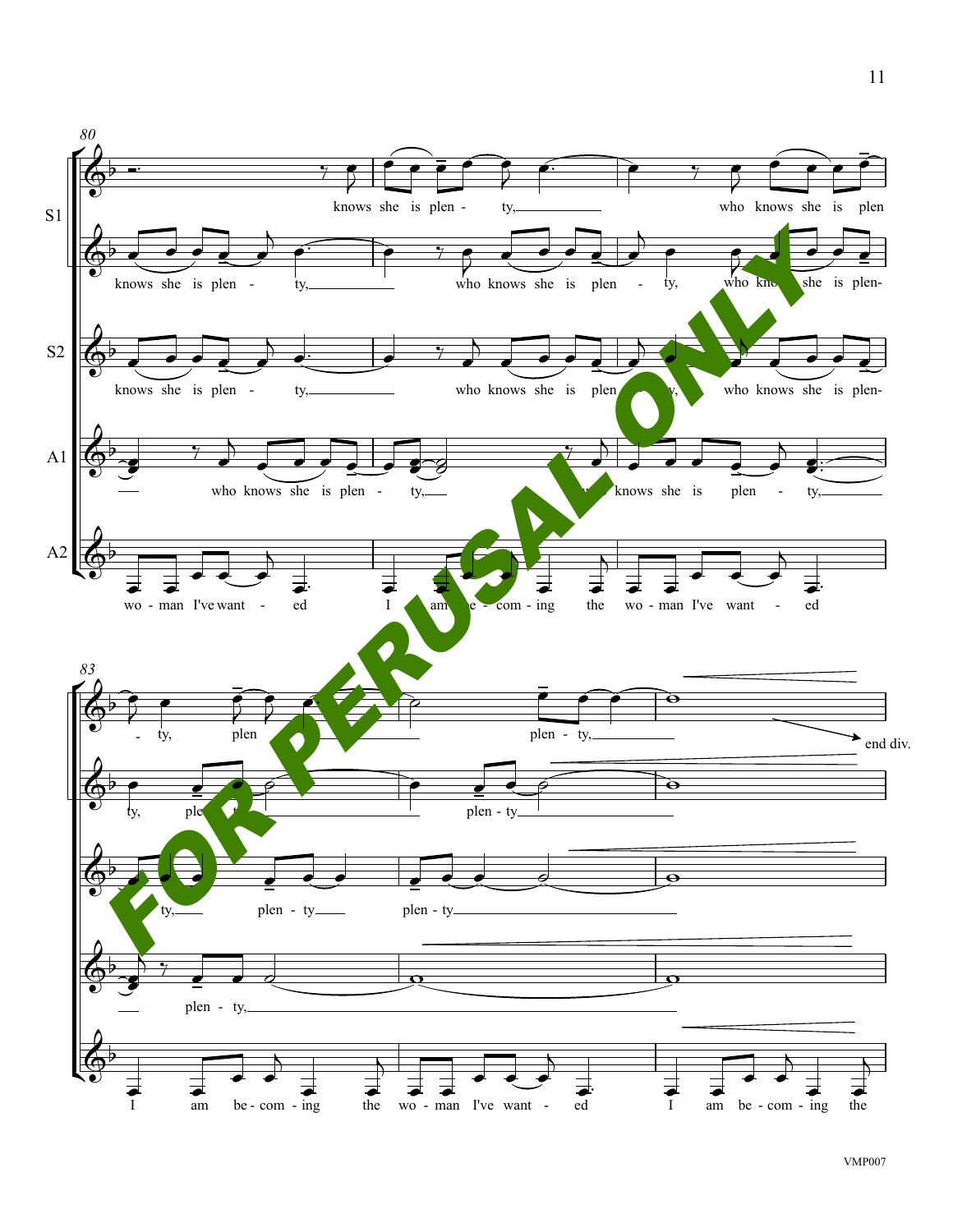

11